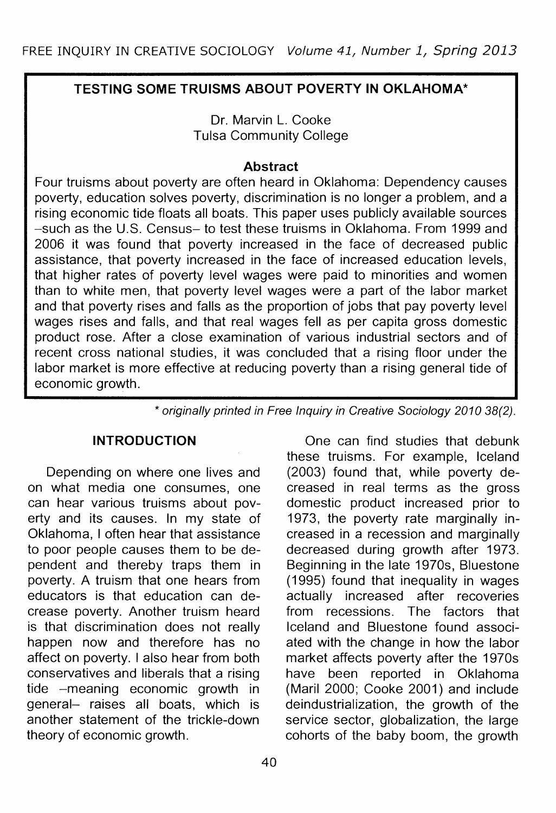# **TESTING SOME TRUISMS ABOUT POVERTY IN OKLAHOMA\***

Dr. Marvin L. Cooke Tulsa Community College

#### **Abstract**

Four truisms about poverty are often heard in Oklahoma: Dependency causes poverty, education solves poverty, discrimination is no longer a problem, and a rising economic tide floats all boats. This paper uses publicly available sources -such as the U.S. Census- to test these truisms in Oklahoma. From 1999 and 2006 it was found that poverty increased in the face of decreased public assistance, that poverty increased in the face of increased education levels, that higher rates of poverty level wages were paid to minorities and women than to white men, that poverty level wages were a part of the labor market and that poverty rises and falls as the proportion of jobs that pay poverty level wages rises and falls, and that real wages fell as per capita gross domestic product rose. After a close examination of various industrial sectors and of recent cross national studies, it was concluded that a rising floor under the labor market is more effective at reducing poverty than a rising general tide of economic growth.

\* originally printed in Free Inquiry in Creative Sociology 2010 38(2).

#### **INTRODUCTION**

Depending on where one lives and on what media one consumes, one can hear various truisms about poverty and its causes. In my state of Oklahoma, I often hear that assistance to poor people causes them to be dependent and thereby traps them in poverty. A truism that one hears from educators is that education can decrease poverty. Another truism heard is that discrimination does not really happen now and therefore has no affect on poverty. I also hear from both conservatives and liberals that a rising tide -meaning economic growth in general- raises all boats, which is another statement of the trickle-down theory of economic growth.

One can find studies that debunk these truisms. For example, Iceland (2003) found that, while poverty decreased in real terms as the gross domestic product increased prior to 1973, the poverty rate marginally increased in a recession and marginally decreased during growth after 1973. Beginning in the late 1970s, Bluestone (1995) found that inequality in wages actually increased after recoveries from recessions. The factors that Iceland and Bluestone found associated with the change in how the labor market affects poverty after the 1970s have been reported in Oklahoma (Maril 2000; Cooke 2001) and include deindustrialization, the growth of the service sector, globalization, the large cohorts of the baby boom, the growth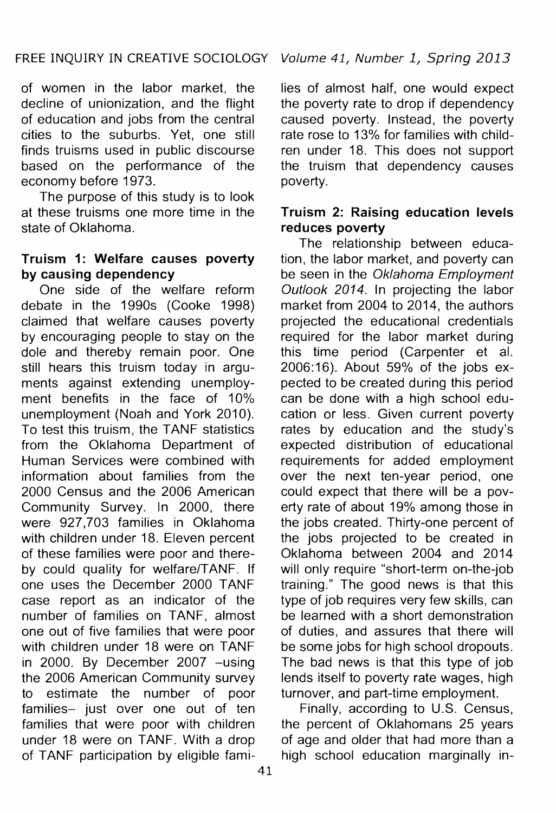of women in the labor market, the decline of unionization, and the flight of education and jobs from the central cities to the suburbs. Yet, one still finds truisms used in public discourse based on the performance of the economy before 1973.

The purpose of this study is to look at these truisms one more time in the state of Oklahoma.

# Truism 1: Welfare causes poverty by causing dependency

One side of the welfare reform debate in the 1990s (Cooke 1998) claimed that welfare causes poverty by encouraging people to stay on the dole and thereby remain poor. One still hears this truism today in arguments against extending unemployment benefits in the face of 10% unemployment (Noah and York 2010). To test this truism, the TANF statistics from the Oklahoma Department of Human Services were combined with information about families from the 2000 Census and the 2006 American Community Survey. In 2000, there were 927,703 families in Oklahoma with children under 18. Eleven percent of these families were poor and thereby could quality for welfare/TANF. If one uses the December 2000 TANF case report as an indicator of the number of families on TANF, almost one out of five families that were poor with children under 18 were on TANF in 2000. By December 2007 -using the 2006 American Community survey to estimate the number of poor families- just over one out of ten families that were poor with children under 18 were on TANF. With a drop of TANF participation by eligible families of almost half, one would expect the poverty rate to drop if dependency caused poverty. Instead, the poverty rate rose to 13% for families with children under 18. This does not support the truism that dependency causes poverty.

## Truism 2: Raising education levels reduces poverty

The relationship between education, the labor market, and poverty can be seen in the Oklahoma Employment Outlook 2014. In projecting the labor market from 2004 to 2014, the authors projected the educational credentials required for the labor market during this time period (Carpenter et al. 2006:16). About 59% of the jobs expected to be created during this period can be done with a high school education or less. Given current poverty rates by education and the study's expected distribution of educational requirements for added employment over the next ten-year period, one could expect that there will be a poverty rate of about 19% among those in the jobs created. Thirty-one percent of the jobs projected to be created in Oklahoma between 2004 and 2014 will only require "short-term on-the-job training." The good news is that this type of job requires very few skills, can be learned with a short demonstration of duties, and assures that there will be some jobs for high school dropouts. The bad news is that this type of job lends itself to poverty rate wages, high turnover, and part-time employment.

Finally, according to U.S. Census, the percent of Oklahomans 25 years of age and older that had more than a high school education marginally in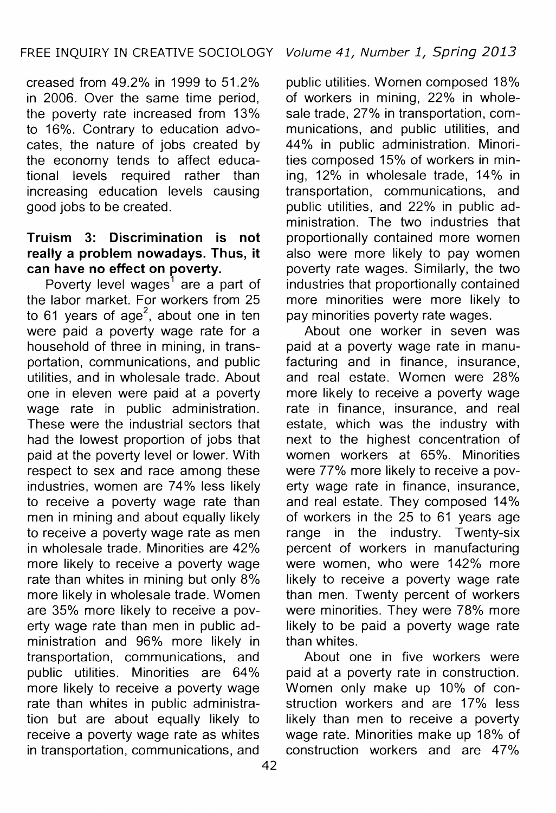creased from 49.2% in 1999 to 51.2% in 2006. Over the same time period, the poverty rate increased from 13% to 16%. Contrary to education advocates, the nature of jobs created by the economy tends to affect educational levels required rather than increasing education levels causing good jobs to be created.

## **Truism 3: Discrimination is not really a problem nowadays. Thus, it can have no effect on poverty.**

Poverty level wages $<sup>1</sup>$  are a part of</sup> the labor market. For workers from 25 to 61 years of age<sup>2</sup>, about one in ten were paid a poverty wage rate for a household of three in mining, in transportation, communications, and public utilities, and in wholesale trade. About one in eleven were paid at a poverty wage rate in public administration. These were the industrial sectors that had the lowest proportion of jobs that paid at the poverty level or lower. With respect to sex and race among these industries, women are 74% less likely to receive a poverty wage rate than men in mining and about equally likely to receive a poverty wage rate as men in wholesale trade. Minorities are 42% more likely to receive a poverty wage rate than whites in mining but only 8% more likely in wholesale trade. Women are 35% more likely to receive a poverty wage rate than men in public administration and 96% more likely in transportation, communications, and public utilities. Minorities are 64% more likely to receive a poverty wage rate than whites in public administration but are about equally likely to receive a poverty wage rate as whites in transportation, communications, and

public utilities. Women composed 18% of workers in mining, 22% in wholesale trade, 27% in transportation, communications, and public utilities, and 44% in public administration. Minorities composed 15% of workers in mining, 12% in wholesale trade, 14% in transportation, communications, and public utilities, and 22% in public administration. The two industries that proportionally contained more women also were more likely to pay women poverty rate wages. Similarly, the two industries that proportionally contained more minorities were more likely to pay minorities poverty rate wages.

About one worker in seven was paid at a poverty wage rate in manufacturing and in finance, insurance, and real estate. Women were 28% more likely to receive a poverty wage rate in finance, insurance, and real estate, which was the industry with next to the highest concentration of women workers at 65%. Minorities were 77% more likely to receive a poverty wage rate in finance, insurance, and real estate. They composed 14% of workers in the 25 to 61 years age range in the industry. Twenty-six percent of workers in manufacturing were women, who were 142% more likely to receive a poverty wage rate than men. Twenty percent of workers were minorities. They were 78% more likely to be paid a poverty wage rate than whites.

About one in five workers were paid at a poverty rate in construction. Women only make up 10% of construction workers and are 17% less likely than men to receive a poverty wage rate. Minorities make up 18% of construction workers and are 47%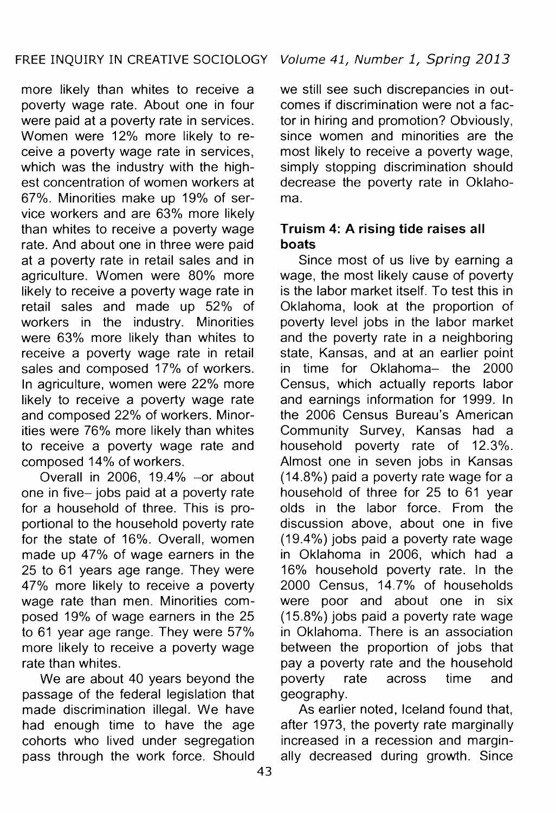more likely than whites to receive a poverty wage rate. About one in four were paid at a poverty rate in services. Women were 12% more likely to receive a poverty wage rate in services, which was the industry with the highest concentration of women workers at 67%. Minorities make up 19% of service workers and are 63% more likely than whites to receive a poverty wage rate. And about one in three were paid at a poverty rate in retail sales and in agriculture. Women were 80% more likely to receive a poverty wage rate in retail sales and made up 52% of workers in the industry. Minorities were 63% more likely than whites to receive a poverty wage rate in retail sales and composed 17% of workers. In agriculture, women were 22% more likely to receive a poverty wage rate and composed 22% of workers. Minorities were 76% more likely than whites to receive a poverty wage rate and composed 14% of workers.

Overall in 2006, 19.4% -or about one in five- jobs paid at a poverty rate for a household of three. This is proportional to the household poverty rate for the state of 16%. Overall, women made up 47% of wage earners in the 25 to 61 years age range. They were 47% more likely to receive a poverty wage rate than men. Minorities composed 19% of wage earners in the 25 to 61 year age range. They were 57% more likely to receive a poverty wage rate than whites.

We are about 40 years beyond the passage of the federal legislation that made discrimination illegal. We have had enough time to have the age cohorts who lived under segregation pass through the work force. Should

we still see such discrepancies in outcomes if discrimination were not a factor in hiring and promotion? Obviously, since women and minorities are the most likely to receive a poverty wage, simply stopping discrimination should decrease the poverty rate in Oklahoma.

## **Truism 4: A rising tide** raises **all**  boats

Since most of us live by earning a wage, the most likely cause of poverty is the labor market itself. To test this in Oklahoma, look at the proportion of poverty level jobs in the labor market and the poverty rate in a neighboring state, Kansas, and at an earlier point in time for Oklahoma- the 2000 Census, which actually reports labor and earnings information for 1999. In the 2006 Census Bureau's American Community Survey, Kansas had a household poverty rate of 12.3%. Almost one in seven jobs in Kansas (14.8%) paid a poverty rate wage for a household of three for 25 to 61 year olds in the labor force. From the discussion above, about one in five (19.4%) jobs paid a poverty rate wage in Oklahoma in 2006, which had a 16% household poverty rate. In the 2000 Census, 14.7% of households were poor and about one in six (15.8%) jobs paid a poverty rate wage in Oklahoma. There is an association between the proportion of jobs that pay a poverty rate and the household poverty rate across time and geography.

As earlier noted, Iceland found that, after 1973, the poverty rate marginally increased in a recession and marginally decreased during growth. Since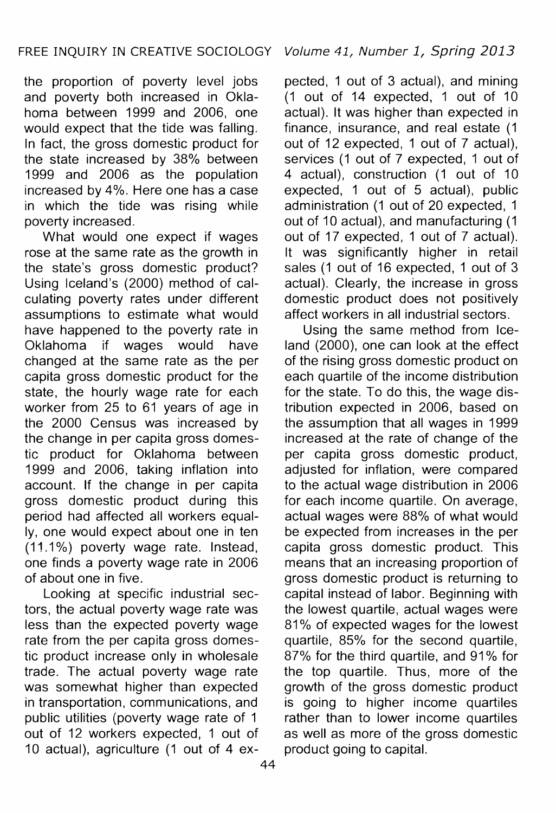the proportion of poverty level jobs and poverty both increased in Oklahoma between 1999 and 2006, one would expect that the tide was falling. In fact, the gross domestic product for the state increased by 38% between 1999 and 2006 as the population increased by 4%. Here one has a case in which the tide was rising while poverty increased.

What would one expect if wages rose at the same rate as the growth in the state's gross domestic product? Using Iceland's (2000) method of calculating poverty rates under different assumptions to estimate what would have happened to the poverty rate in Oklahoma if wages would have changed at the same rate as the per capita gross domestic product for the state, the hourly wage rate for each worker from 25 to 61 years of age in the 2000 Census was increased by the change in per capita gross domestic product for Oklahoma between 1999 and 2006, taking inflation into account. If the change in per capita gross domestic product during this period had affected all workers equally, one would expect about one in ten (11.1%) poverty wage rate. Instead, one finds a poverty wage rate in 2006 of about one in five.

Looking at specific industrial sectors, the actual poverty wage rate was less than the expected poverty wage rate from the per capita gross domestic product increase only in wholesale trade. The actual poverty wage rate was somewhat higher than expected in transportation, communications, and public utilities (poverty wage rate of 1 out of 12 workers expected, 1 out of 10 actual), agriculture (1 out of 4 expected, 1 out of 3 actual), and mining  $(1 \text{ out of } 14 \text{ expected}, 1 \text{ out of } 10)$ actual). It was higher than expected in finance, insurance, and real estate (1 out of 12 expected, 1 out of 7 actual), services (1 out of 7 expected, 1 out of 4 actual), construction (1 out of 10 expected, 1 out of 5 actual), public administration (1 out of 20 expected, 1 out of 10 actual), and manufacturing (1 out of 17 expected, 1 out of 7 actual). It was significantly higher in retail sales (1 out of 16 expected, 1 out of 3 actual). Clearly, the increase in gross domestic product does not positively affect workers in all industrial sectors.

Using the same method from Iceland (2000), one can look at the effect of the rising gross domestic product on each quartile of the income distribution for the state. To do this, the wage distribution expected in 2006, based on the assumption that all wages in 1999 increased at the rate of change of the per capita gross domestic product, adjusted for inflation, were compared to the actual wage distribution in 2006 for each income quartile. On average, actual wages were 88% of what would be expected from increases in the per capita gross domestic product. This means that an increasing proportion of gross domestic product is returning to capital instead of labor. Beginning with the lowest quartile, actual wages were 81% of expected wages for the lowest quartile, 85% for the second quartile, 87% for the third quartile, and 91% for the top quartile. Thus, more of the growth of the gross domestic product is going to higher income quartiles rather than to lower income quartiles as well as more of the gross domestic product going to capital.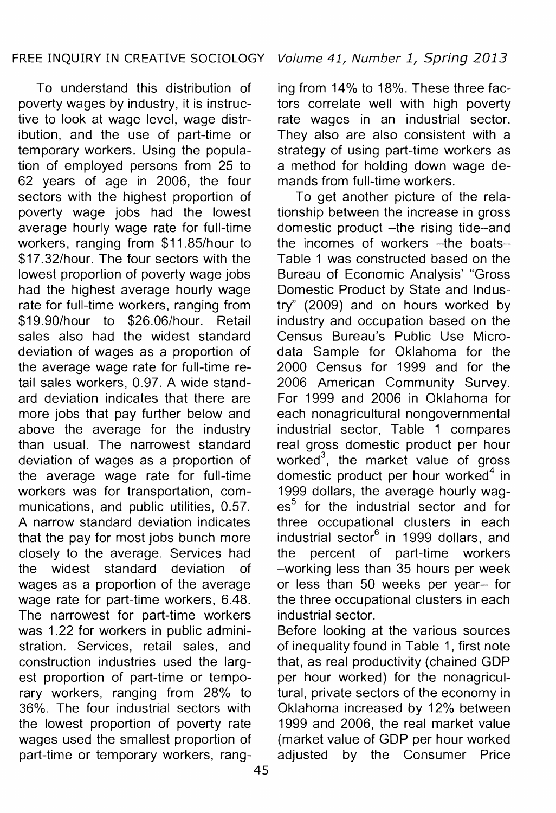To understand this distribution of poverty wages by industry, it is instructive to look at wage level, wage distribution, and the use of part-time or temporary workers. Using the population of employed persons from 25 to 62 years of age in 2006, the four sectors with the highest proportion of poverty wage jobs had the lowest average hourly wage rate for full-time workers, ranging from \$11.85/hour to \$17.32/hour. The four sectors with the lowest proportion of poverty wage jobs had the highest average hourly wage rate for full-time workers, ranging from \$19.90/hour to \$26.06/hour. Retail sales also had the widest standard deviation of wages as a proportion of the average wage rate for full-time retail sales workers, 0.97. A wide standard deviation indicates that there are more jobs that pay further below and above the average for the industry than usual. The narrowest standard deviation of wages as a proportion of the average wage rate for full-time workers was for transportation, communications, and public utilities, 0.57. A narrow standard deviation indicates that the pay for most jobs bunch more closely to the average. Services had the widest standard deviation of wages as a proportion of the average wage rate for part-time workers, 6.48. The narrowest for part-time workers was 1.22 for workers in public administration. Services, retail sales, and construction industries used the largest proportion of part-time or temporary workers, ranging from 28% to 36%. The four industrial sectors with the lowest proportion of poverty rate wages used the smallest proportion of part-time or temporary workers, rang-

ing from 14% to 18%. These three factors correlate well with high poverty rate wages in an industrial sector. They also are also consistent with a strategy of using part-time workers as a method for holding down wage demands from full-time workers.

To get another picture of the relationship between the increase in gross domestic product -the rising tide-and the incomes of workers -the boats-Table 1 was constructed based on the Bureau of Economic Analysis' "Gross Domestic Product by State and Industry'' (2009) and on hours worked by industry and occupation based on the Census Bureau's Public Use Microdata Sample for Oklahoma for the 2000 Census for 1999 and for the 2006 American Community Survey. For 1999 and 2006 in Oklahoma for each nonagricultural nongovernmental industrial sector, Table 1 compares real gross domestic product per hour worked $3$ , the market value of gross domestic product per hour worked<sup>4</sup> in 1999 dollars, the average hourly wages<sup>5</sup> for the industrial sector and for three occupational clusters in each industrial sector<sup>6</sup> in 1999 dollars, and the percent of part-time workers -working less than 35 hours per week or less than 50 weeks per year- for the three occupational clusters in each industrial sector.

Before looking at the various sources of inequality found in Table 1, first note that, as real productivity (chained GDP per hour worked) for the nonagricultural, private sectors of the economy in Oklahoma increased by 12% between 1999 and 2006, the real market value (market value of GDP per hour worked adjusted by the Consumer Price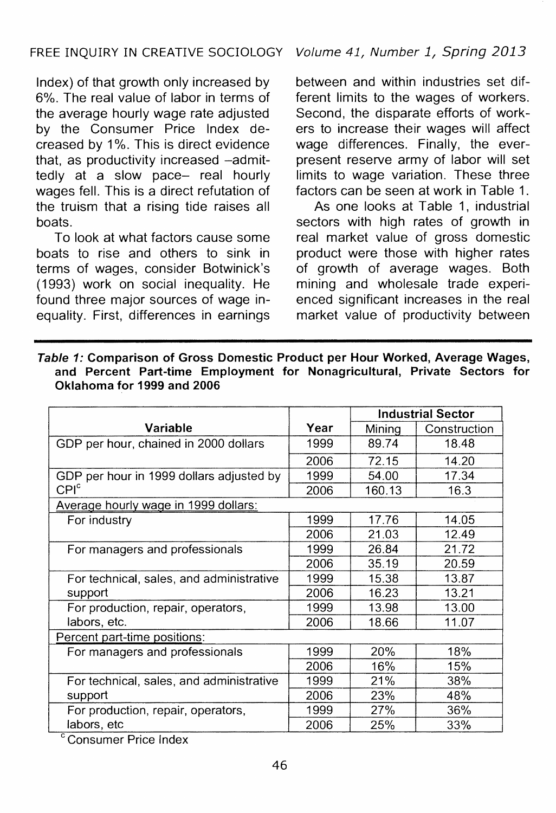Index) of that growth only increased by 6%. The real value of labor in terms of the average hourly wage rate adjusted by the Consumer Price Index decreased by 1%. This is direct evidence that, as productivity increased -admittedly at a slow pace- real hourly wages fell. This is a direct refutation of the truism that a rising tide raises all boats.

To look at what factors cause some boats to rise and others to sink in terms of wages, consider Botwinick's (1993) work on social inequality. He found three major sources of wage inequality. First, differences in earnings between and within industries set different limits to the wages of workers. Second, the disparate efforts of workers to increase their wages will affect wage differences. Finally, the everpresent reserve army of labor will set limits to wage variation. These three factors can be seen at work in Table 1.

As one looks at Table 1, industrial sectors with high rates of growth in real market value of gross domestic product were those with higher rates of growth of average wages. Both mining and wholesale trade experienced significant increases in the real market value of productivity between

|                                                              |      |        | <b>Industrial Sector</b> |  |  |  |
|--------------------------------------------------------------|------|--------|--------------------------|--|--|--|
| Variable                                                     | Year | Mining | Construction             |  |  |  |
| GDP per hour, chained in 2000 dollars                        | 1999 | 89.74  | 18.48                    |  |  |  |
|                                                              | 2006 | 72.15  | 14.20                    |  |  |  |
| GDP per hour in 1999 dollars adjusted by<br>CPI <sup>c</sup> | 1999 | 54.00  | 17.34                    |  |  |  |
|                                                              | 2006 | 160.13 | 16.3                     |  |  |  |
| Average hourly wage in 1999 dollars:                         |      |        |                          |  |  |  |
| For industry                                                 | 1999 | 17.76  | 14.05                    |  |  |  |
|                                                              | 2006 | 21.03  | 12.49                    |  |  |  |
| For managers and professionals                               | 1999 | 26.84  | 21.72                    |  |  |  |
|                                                              | 2006 | 35.19  | 20.59                    |  |  |  |
| For technical, sales, and administrative<br>support          | 1999 | 15.38  | 13.87                    |  |  |  |
|                                                              | 2006 | 16.23  | 13.21                    |  |  |  |
| For production, repair, operators,                           | 1999 | 13.98  | 13.00                    |  |  |  |
| labors, etc.                                                 | 2006 | 18.66  | 11.07                    |  |  |  |
| Percent part-time positions:                                 |      |        |                          |  |  |  |
| For managers and professionals                               | 1999 | 20%    | 18%                      |  |  |  |
|                                                              | 2006 | 16%    | 15%                      |  |  |  |
| For technical, sales, and administrative<br>support          | 1999 | 21%    | 38%                      |  |  |  |
|                                                              | 2006 | 23%    | 48%                      |  |  |  |
| For production, repair, operators,                           | 1999 | 27%    | 36%                      |  |  |  |
| labors, etc<br>$\sim$ $\sim$                                 | 2006 | 25%    | 33%                      |  |  |  |

Table 1: Comparison of Gross Domestic Product per Hour Worked, Average Wages, and Percent Part-time Employment for Nonagricultural, Private Sectors for Oklahoma for 1999 and 2006

<sup>c</sup> Consumer Price Index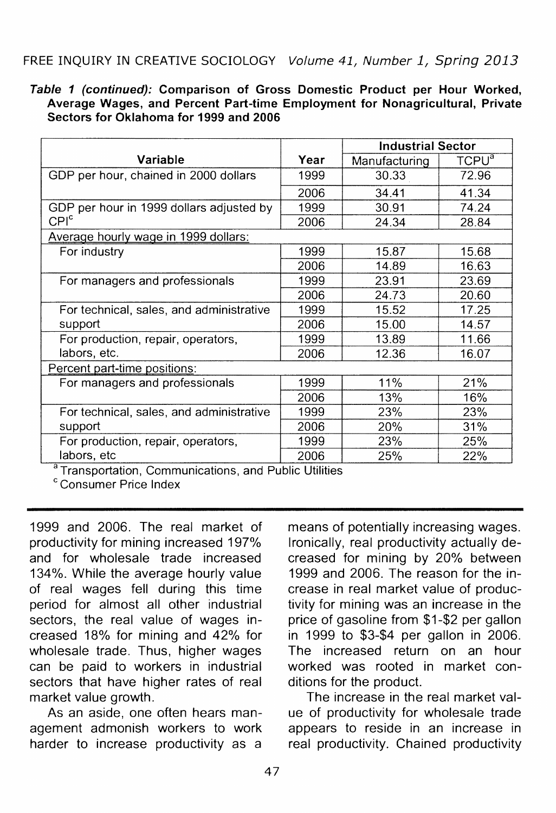#### Table 1 (continued): Comparison of Gross Domestic Product per Hour Worked, Average Wages, and Percent Part-time Employment for Nonagricultural, Private Sectors for Oklahoma for 1999 and 2006

|                                          |      | <b>Industrial Sector</b> |                          |  |
|------------------------------------------|------|--------------------------|--------------------------|--|
| Variable                                 | Year | Manufacturing            | <b>TCPU</b> <sup>a</sup> |  |
| GDP per hour, chained in 2000 dollars    | 1999 | 30.33                    | 72.96                    |  |
|                                          | 2006 | 34.41                    | 41.34                    |  |
| GDP per hour in 1999 dollars adjusted by | 1999 | 30.91                    | 74.24                    |  |
| CPI <sup>c</sup>                         | 2006 | 24.34                    | 28.84                    |  |
| Average hourly wage in 1999 dollars:     |      |                          |                          |  |
| For industry                             | 1999 | 15.87                    | 15.68                    |  |
|                                          | 2006 | 14.89                    | 16.63                    |  |
| For managers and professionals           | 1999 | 23.91                    | 23.69                    |  |
|                                          | 2006 | 24.73                    | 20.60                    |  |
| For technical, sales, and administrative | 1999 | 15.52                    | 17.25                    |  |
| support                                  | 2006 | 15.00                    | 14.57                    |  |
| For production, repair, operators,       | 1999 | 13.89                    | 11.66                    |  |
| labors, etc.                             | 2006 | 12.36                    | 16.07                    |  |
| Percent part-time positions:             |      |                          |                          |  |
| For managers and professionals           | 1999 | 11%                      | 21%                      |  |
|                                          | 2006 | 13%                      | 16%                      |  |
| For technical, sales, and administrative | 1999 | 23%                      | 23%                      |  |
| support                                  | 2006 | 20%                      | 31%                      |  |
| For production, repair, operators,       | 1999 | 23%                      | 25%                      |  |
| labors, etc                              | 2006 | 25%                      | 22%                      |  |

<sup>a</sup> Transportation, Communications, and Public Utilities

c Consumer Price Index

1999 and 2006. The real market of productivity for mining increased 197% and for wholesale trade increased 134%. While the average hourly value of real wages fell during this time period for almost all other industrial sectors, the real value of wages increased 18% for mining and 42% for wholesale trade. Thus, higher wages can be paid to workers in industrial sectors that have higher rates of real market value growth.

As an aside, one often hears management admonish workers to work harder to increase productivity as a means of potentially increasing wages. Ironically, real productivity actually decreased for mining by 20% between 1999 and 2006. The reason for the increase in real market value of productivity for mining was an increase in the price of gasoline from \$1-\$2 per gallon in 1999 to \$3-\$4 per gallon in 2006. The increased return on an hour worked was rooted in market conditions for the product.

The increase in the real market value of productivity for wholesale trade appears to reside in an increase in real productivity. Chained productivity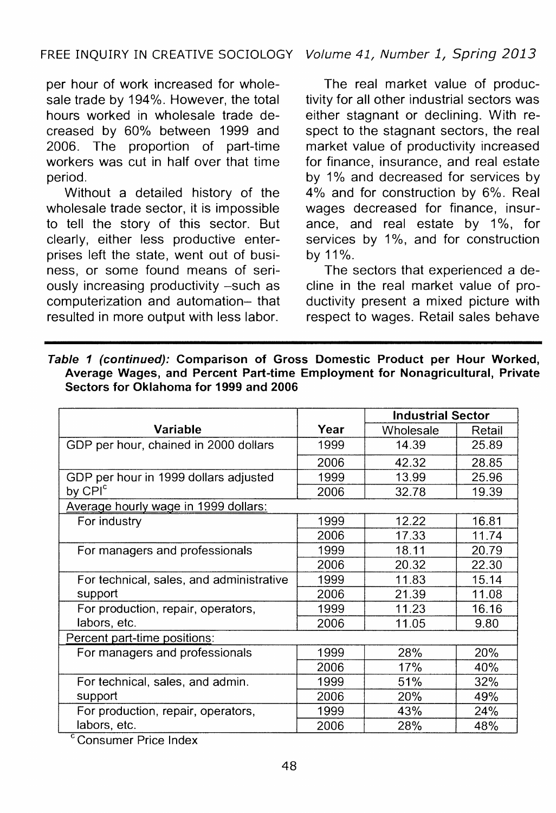per hour of work increased for wholesale trade by 194%. However, the total hours worked in wholesale trade decreased by 60% between 1999 and 2006. The proportion of part-time workers was cut in half over that time period.

Without a detailed history of the wholesale trade sector, it is impossible to tell the story of this sector. But clearly, either less productive enterprises left the state, went out of business, or some found means of seriously increasing productivity -such as computerization and automation- that resulted in more output with less labor.

The real market value of productivity for all other industrial sectors was either stagnant or declining. With respect to the stagnant sectors, the real market value of productivity increased for finance, insurance, and real estate by 1% and decreased for services by 4% and for construction by 6%. Real wages decreased for finance, insurance, and real estate by  $1\%$ , for services by 1%, and for construction by 11%.

The sectors that experienced a decline in the real market value of productivity present a mixed picture with respect to wages. Retail sales behave

|                                                                                                                                                                                                                                                           |      | <b>Industrial Sector</b> |        |  |
|-----------------------------------------------------------------------------------------------------------------------------------------------------------------------------------------------------------------------------------------------------------|------|--------------------------|--------|--|
| <b>Variable</b>                                                                                                                                                                                                                                           | Year | Wholesale                | Retail |  |
| GDP per hour, chained in 2000 dollars                                                                                                                                                                                                                     | 1999 | 14.39                    | 25.89  |  |
|                                                                                                                                                                                                                                                           | 2006 | 42.32                    | 28.85  |  |
| GDP per hour in 1999 dollars adjusted                                                                                                                                                                                                                     | 1999 | 13.99                    | 25.96  |  |
| by CPI <sup>c</sup>                                                                                                                                                                                                                                       | 2006 | 32.78                    | 19.39  |  |
| Average hourly wage in 1999 dollars:                                                                                                                                                                                                                      |      |                          |        |  |
| For industry                                                                                                                                                                                                                                              | 1999 | 12.22                    | 16.81  |  |
|                                                                                                                                                                                                                                                           | 2006 | 17.33                    | 11.74  |  |
| For managers and professionals                                                                                                                                                                                                                            | 1999 | 18.11                    | 20.79  |  |
|                                                                                                                                                                                                                                                           | 2006 | 20.32                    | 22.30  |  |
| For technical, sales, and administrative                                                                                                                                                                                                                  | 1999 | 11.83                    | 15.14  |  |
| support                                                                                                                                                                                                                                                   | 2006 | 21.39                    | 11.08  |  |
| For production, repair, operators,                                                                                                                                                                                                                        | 1999 | 11.23                    | 16.16  |  |
| labors, etc.                                                                                                                                                                                                                                              | 2006 | 11.05                    | 9.80   |  |
| Percent part-time positions:                                                                                                                                                                                                                              |      |                          |        |  |
| For managers and professionals                                                                                                                                                                                                                            | 1999 | 28%                      | 20%    |  |
|                                                                                                                                                                                                                                                           | 2006 | 17%                      | 40%    |  |
| For technical, sales, and admin.                                                                                                                                                                                                                          | 1999 | 51%                      | 32%    |  |
| support                                                                                                                                                                                                                                                   | 2006 | 20%                      | 49%    |  |
| For production, repair, operators,                                                                                                                                                                                                                        | 1999 | 43%                      | 24%    |  |
| labors, etc.<br>$\mathbf{c}_{\text{max}}$ . The set of the set of the set of the set of the set of the set of the set of the set of the set of the set of the set of the set of the set of the set of the set of the set of the set of the set of the set | 2006 | 28%                      | 48%    |  |

Table 1 (continued): Comparison of Gross Domestic Product per Hour Worked, Average Wages, and Percent Part-time Employment for Nonagricultural, Private Sectors for Oklahoma for 1999 and 2006

Consumer Price Index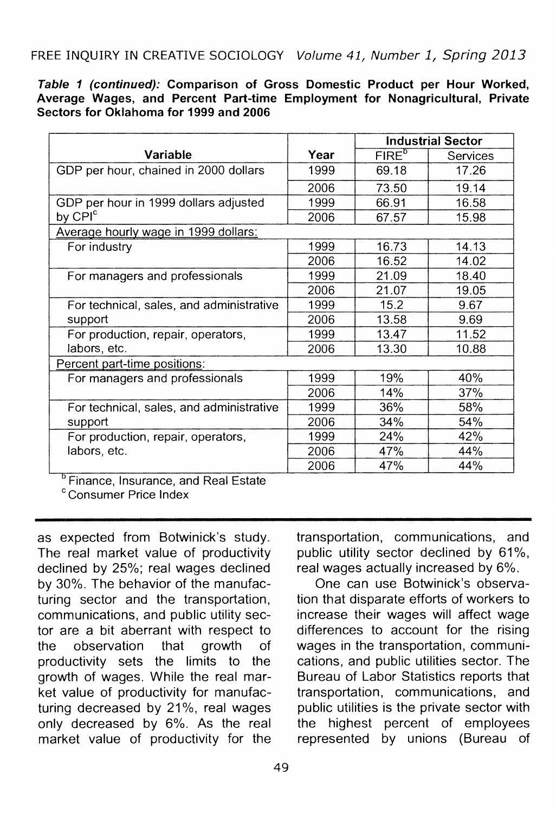Table 1 (continued): Comparison of Gross Domestic Product per Hour Worked, Average Wages, and Percent Part-time Employment for Nonagricultural, Private Sectors for Oklahoma for 1999 and 2006

|                                                              |      | <b>Industrial Sector</b> |          |  |
|--------------------------------------------------------------|------|--------------------------|----------|--|
| Variable                                                     | Year | FIRE <sup>b</sup>        | Services |  |
| GDP per hour, chained in 2000 dollars                        | 1999 | 69.18                    | 17.26    |  |
|                                                              | 2006 | 73.50                    | 19.14    |  |
| GDP per hour in 1999 dollars adjusted<br>by CPI <sup>c</sup> | 1999 | 66.91                    | 16.58    |  |
|                                                              | 2006 | 67.57                    | 15.98    |  |
| Average hourly wage in 1999 dollars:                         |      |                          |          |  |
| For industry                                                 | 1999 | 16.73                    | 14.13    |  |
|                                                              | 2006 | 16.52                    | 14.02    |  |
| For managers and professionals                               | 1999 | 21.09                    | 18.40    |  |
|                                                              | 2006 | 21.07                    | 19.05    |  |
| For technical, sales, and administrative                     | 1999 | 15.2                     | 9.67     |  |
| support                                                      | 2006 | 13.58                    | 9.69     |  |
| For production, repair, operators,                           | 1999 | 13.47                    | 11.52    |  |
| labors, etc.                                                 | 2006 | 13.30                    | 10.88    |  |
| Percent part-time positions:                                 |      |                          |          |  |
| For managers and professionals                               | 1999 | 19%                      | 40%      |  |
|                                                              | 2006 | 14%                      | 37%      |  |
| For technical, sales, and administrative<br>support          | 1999 | 36%                      | 58%      |  |
|                                                              | 2006 | 34%                      | 54%      |  |
| For production, repair, operators,                           | 1999 | 24%                      | 42%      |  |
| labors, etc.                                                 | 2006 | 47%                      | 44%      |  |
|                                                              | 2006 | 47%                      | 44%      |  |

<sup>b</sup> Finance, Insurance, and Real Estate

c Consumer Price Index

as expected from Botwinick's study. The real market value of productivity declined by 25%; real wages declined by 30%. The behavior of the manufacturing sector and the transportation, communications, and public utility sector are a bit aberrant with respect to the observation that growth of productivity sets the limits to the growth of wages. While the real market value of productivity for manufacturing decreased by 21%, real wages only decreased by 6%. As the real market value of productivity for the transportation, communications, and public utility sector declined by 61%, real wages actually increased by 6%.

One can use Botwinick's observation that disparate efforts of workers to increase their wages will affect wage differences to account for the rising wages in the transportation, communications, and public utilities sector. The Bureau of Labor Statistics reports that transportation, communications, and public utilities is the private sector with the highest percent of employees represented by unions (Bureau of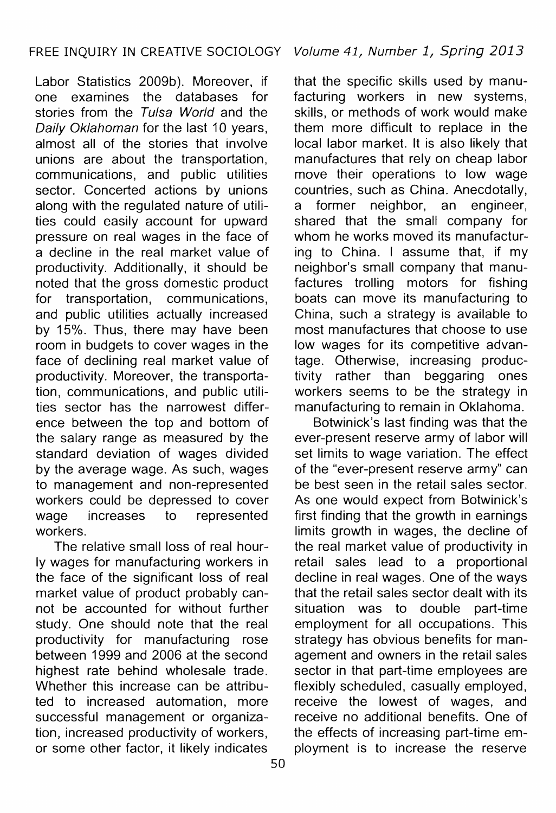Labor Statistics 2009b). Moreover, if one examines the databases for stories from the Tulsa World and the Daily Oklahoman for the last 10 years. almost all of the stories that involve unions are about the transportation, communications, and public utilities sector. Concerted actions by unions along with the regulated nature of utilities could easily account for upward pressure on real wages in the face of a decline in the real market value of productivity. Additionally, it should be noted that the gross domestic product for transportation, communications, and public utilities actually increased by 15%. Thus, there may have been room in budgets to cover wages in the face of declining real market value of productivity. Moreover, the transportation, communications, and public utilities sector has the narrowest difference between the top and bottom of the salary range as measured by the standard deviation of wages divided by the average wage. As such, wages to management and non-represented workers could be depressed to cover wage increases to represented workers.

The relative small loss of real hourly wages for manufacturing workers in the face of the significant loss of real market value of product probably cannot be accounted for without further study. One should note that the real productivity for manufacturing rose between 1999 and 2006 at the second highest rate behind wholesale trade. Whether this increase can be attributed to increased automation, more successful management or organization, increased productivity of workers, or some other factor, it likely indicates

that the specific skills used by manufacturing workers in new systems. skills, or methods of work would make them more difficult to replace in the local labor market. It is also likely that manufactures that rely on cheap labor move their operations to low wage countries, such as China. Anecdotally, a former neighbor, an engineer, shared that the small company for whom he works moved its manufacturing to China. I assume that, if my neighbor's small company that manufactures trolling motors for fishing boats can move its manufacturing to China, such a strategy is available to most manufactures that choose to use low wages for its competitive advantage. Otherwise, increasing productivity rather than beggaring ones workers seems to be the strategy in manufacturing to remain in Oklahoma.

Botwinick's last finding was that the ever-present reserve army of labor will set limits to wage variation. The effect of the "ever-present reserve army" can be best seen in the retail sales sector. As one would expect from Botwinick's first finding that the growth in earnings limits growth in wages, the decline of the real market value of productivity in retail sales lead to a proportional decline in real wages. One of the ways that the retail sales sector dealt with its situation was to double part-time employment for all occupations. This strategy has obvious benefits for management and owners in the retail sales sector in that part-time employees are flexibly scheduled, casually employed, receive the lowest of wages, and receive no additional benefits. One of the effects of increasing part-time employment is to increase the reserve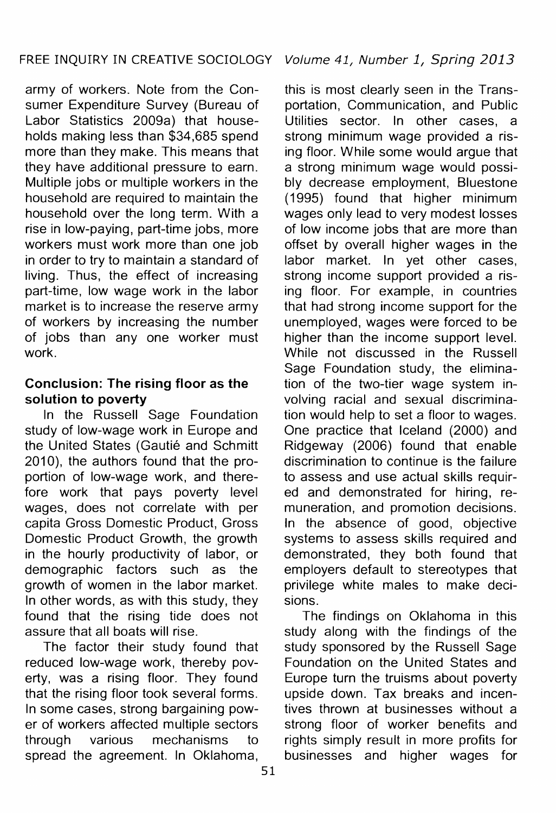army of workers. Note from the Consumer Expenditure Survey (Bureau of Labor Statistics 2009a) that households making less than \$34,685 spend more than they make. This means that they have additional pressure to earn. Multiple jobs or multiple workers in the household are required to maintain the household over the long term. With a rise in low-paying, part-time jobs, more workers must work more than one job in order to try to maintain a standard of living. Thus, the effect of increasing part-time, low wage work in the labor market is to increase the reserve army of workers by increasing the number of jobs than any one worker must work.

# **Conclusion: The rising floor as the solution to poverty**

In the Russell Sage Foundation study of low-wage work in Europe and the United States (Gautié and Schmitt 2010), the authors found that the proportion of low-wage work, and therefore work that pays poverty level wages, does not correlate with per capita Gross Domestic Product, Gross Domestic Product Growth, the growth in the hourly productivity of labor, or demographic factors such as the growth of women in the labor market. In other words, as with this study, they found that the rising tide does not assure that all boats will rise.

The factor their study found that reduced low-wage work, thereby poverty, was a rising floor. They found that the rising floor took several forms. In some cases, strong bargaining power of workers affected multiple sectors through various mechanisms to spread the agreement. In Oklahoma,

this is most clearly seen in the Transportation, Communication, and Public Utilities sector. In other cases, a strong minimum wage provided a rising floor. While some would argue that a strong minimum wage would possibly decrease employment, Bluestone (1995) found that higher minimum wages only lead to very modest losses of low income jobs that are more than offset by overall higher wages in the labor market. In yet other cases, strong income support provided a rising floor. For example, in countries that had strong income support for the unemployed, wages were forced to be higher than the income support level. While not discussed in the Russell Sage Foundation study, the elimination of the two-tier wage system involving racial and sexual discrimination would help to set a floor to wages. One practice that Iceland (2000) and Ridgeway (2006) found that enable discrimination to continue is the failure to assess and use actual skills required and demonstrated for hiring, remuneration, and promotion decisions. In the absence of good, objective systems to assess skills required and demonstrated, they both found that employers default to stereotypes that privilege white males to make decisions.

The findings on Oklahoma in this study along with the findings of the study sponsored by the Russell Sage Foundation on the United States and Europe turn the truisms about poverty upside down. Tax breaks and incentives thrown at businesses without a strong floor of worker benefits and rights simply result in more profits for businesses and higher wages for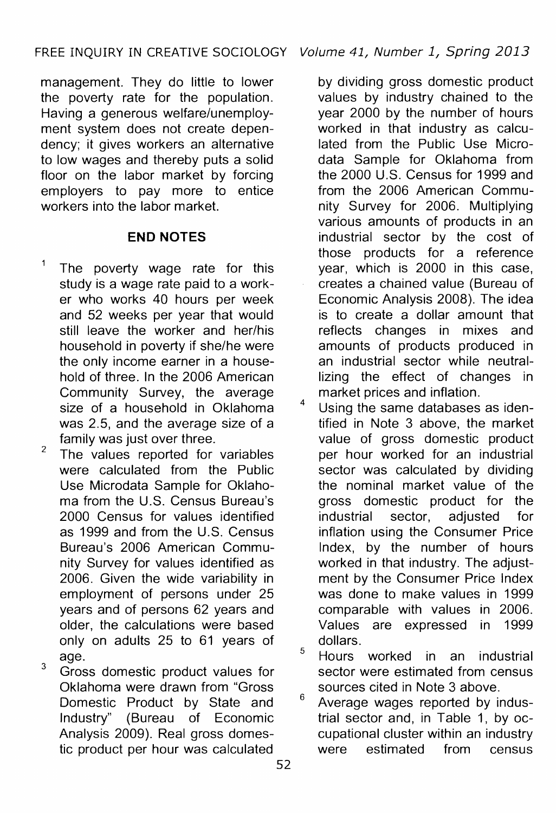management. They do little to lower the poverty rate for the population. Having a generous welfare/unemployment system does not create dependency; it gives workers an alternative to low wages and thereby puts a solid floor on the labor market by forcing employers to pay more to entice workers into the labor market.

# **END NOTES**

- The poverty wage rate for this study is a wage rate paid to a worker who works 40 hours per week and 52 weeks per year that would still leave the worker and her/his household in poverty if she/he were the only income earner in a household of three. In the 2006 American Community Survey, the average size of a household in Oklahoma was 2.5, and the average size of a family was just over three.
- $2$  The values reported for variables were calculated from the Public Use Microdata Sample for Oklahoma from the U.S. Census Bureau's 2000 Census for values identified as 1999 and from the U.S. Census Bureau's 2006 American Community Survey for values identified as 2006. Given the wide variability in employment of persons under 25 years and of persons 62 years and older, the calculations were based only on adults 25 to 61 years of age.
- <sup>3</sup> Gross domestic product values for Oklahoma were drawn from "Gross Domestic Product by State and Industry" (Bureau of Economic Analysis 2009). Real gross domestic product per hour was calculated

by dividing gross domestic product values by industry chained to the year 2000 by the number of hours worked in that industry as calculated from the Public Use Microdata Sample for Oklahoma from the 2000 U.S. Census for 1999 and from the 2006 American Community Survey for 2006. Multiplying various amounts of products in an industrial sector by the cost of those products for a reference year, which is 2000 in this case, creates a chained value (Bureau of Economic Analysis 2008). The idea is to create a dollar amount that reflects changes in mixes and amounts of products produced in an industrial sector while neutrallizing the effect of changes in market prices and inflation.

<sup>4</sup> Using the same databases as identified in Note 3 above, the market value of gross domestic product per hour worked for an industrial sector was calculated by dividing the nominal market value of the gross domestic product for the industrial sector, adjusted for inflation using the Consumer Price Index, by the number of hours worked in that industry. The adjustment by the Consumer Price Index was done to make values in 1999 comparable with values in 2006. Values are expressed in 1999 dollars.

<sup>5</sup> Hours worked in an industrial sector were estimated from census

sources cited in Note 3 above.<br><sup>6</sup> Average wages reported by industrial sector and, in Table 1, by occupational cluster within an industry were estimated from census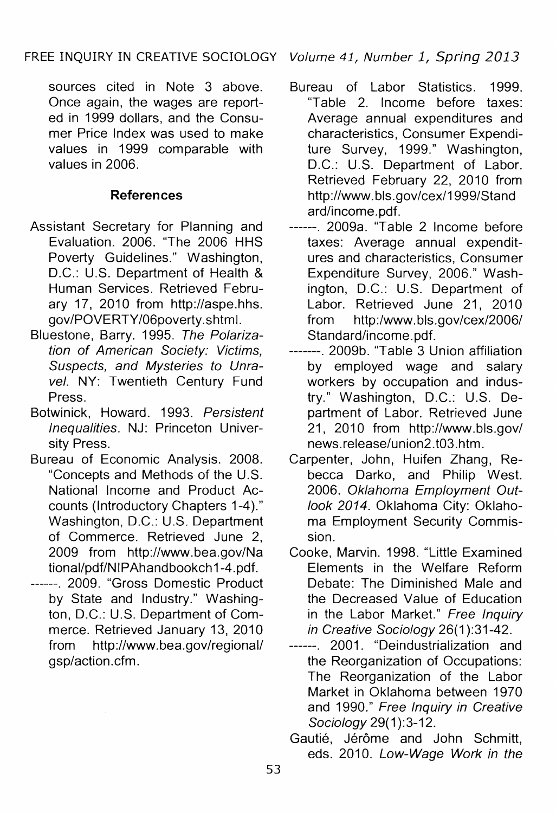sources cited in Note 3 above. Once again, the wages are reported in 1999 dollars, and the Consumer Price Index was used to make values in 1999 comparable with values in 2006.

## **References**

- Assistant Secretary for Planning and Evaluation. 2006. "The 2006 HHS Poverty Guidelines." Washington, D.C.: U.S. Department of Health & Human Services. Retrieved February 17, 2010 from http://aspe.hhs. gov/POVERTY /06poverty .shtm I.
- Bluestone, Barry. 1995. The Polarization of American Society: Victims, Suspects, and Mysteries to Unravel. NY: Twentieth Century Fund Press.
- Botwinick, Howard. 1993. Persistent Inequalities. NJ: Princeton University Press.
- Bureau of Economic Analysis. 2008. "Concepts and Methods of the U.S. National Income and Product Accounts (Introductory Chapters 1-4)." Washington, D.C.: U.S. Department of Commerce. Retrieved June 2, 2009 from http://www.bea.gov/Na tional/pdf/NIPAhandbookch 1-4.pdf.
- ------. 2009. "Gross Domestic Product by State and Industry." Washington, D.C.: U.S. Department of Commerce. Retrieved January 13, 2010 from http://www.bea.gov/regional/ gsp/action.cfm.
- Bureau of Labor Statistics. 1999. "Table 2. Income before taxes: Average annual expenditures and characteristics, Consumer Expenditure Survey, 1999." Washington, D.C.: U.S. Department of Labor. Retrieved February 22, 2010 from http://www.bls.gov/cex/1999/Stand ard/income.pdf.
- ------. 2009a. "Table 2 Income before taxes: Average annual expenditures and characteristics, Consumer Expenditure Survey, 2006." Washington, D.C.: U.S. Department of Labor. Retrieved June 21, 2010 from http:/www.bls.gov/cex/2006/ Standard/income.pdf.
- -------. 2009b. "Table 3 Union affiliation by employed wage and salary workers by occupation and industry." Washington, D.C.: U.S. Department of Labor. Retrieved June 21, 2010 from http://www.bls.gov/ news.release/union2.t03.htm.
- Carpenter, John, Huifen Zhang, Rebecca Darko, and Philip West. 2006. Oklahoma Employment Outlook 2014. Oklahoma City: Oklahoma Employment Security Commission.
- Cooke, Marvin. 1998. "Little Examined Elements in the Welfare Reform Debate: The Diminished Male and the Decreased Value of Education in the Labor Market." Free Inquiry in Creative Sociology 26(1):31-42.
- ------. 2001. "Deindustrialization and the Reorganization of Occupations: The Reorganization of the Labor Market in Oklahoma between 1970 and 1990." Free Inquiry in Creative Sociology 29(1):3-12.
- Gautié, Jérôme and John Schmitt, eds. 2010. Low-Wage Work in the